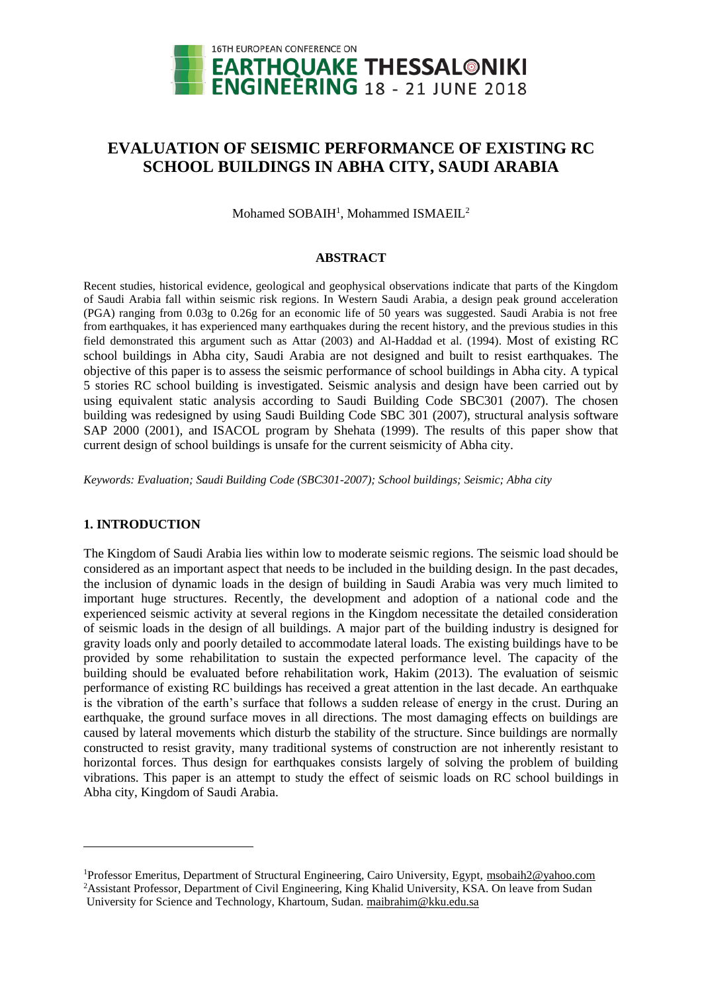

# **EVALUATION OF SEISMIC PERFORMANCE OF EXISTING RC SCHOOL BUILDINGS IN ABHA CITY, SAUDI ARABIA**

Mohamed SOBAIH<sup>1</sup>, Mohammed ISMAEIL<sup>2</sup>

#### **ABSTRACT**

Recent studies, historical evidence, geological and geophysical observations indicate that parts of the Kingdom of Saudi Arabia fall within seismic risk regions. In Western Saudi Arabia, a design peak ground acceleration (PGA) ranging from 0.03g to 0.26g for an economic life of 50 years was suggested. Saudi Arabia is not free from earthquakes, it has experienced many earthquakes during the recent history, and the previous studies in this field demonstrated this argument such as Attar (2003) and Al-Haddad et al. (1994). Most of existing RC school buildings in Abha city, Saudi Arabia are not designed and built to resist earthquakes. The objective of this paper is to assess the seismic performance of school buildings in Abha city. A typical 5 stories RC school building is investigated. Seismic analysis and design have been carried out by using equivalent static analysis according to Saudi Building Code SBC301 (2007). The chosen building was redesigned by using Saudi Building Code SBC 301 (2007), structural analysis software SAP 2000 (2001), and ISACOL program by Shehata (1999). The results of this paper show that current design of school buildings is unsafe for the current seismicity of Abha city.

*Keywords: Evaluation; Saudi Building Code (SBC301-2007); School buildings; Seismic; Abha city*

# **1. INTRODUCTION**

l

The Kingdom of Saudi Arabia lies within low to moderate seismic regions. The seismic load should be considered as an important aspect that needs to be included in the building design. In the past decades, the inclusion of dynamic loads in the design of building in Saudi Arabia was very much limited to important huge structures. Recently, the development and adoption of a national code and the experienced seismic activity at several regions in the Kingdom necessitate the detailed consideration of seismic loads in the design of all buildings. A major part of the building industry is designed for gravity loads only and poorly detailed to accommodate lateral loads. The existing buildings have to be provided by some rehabilitation to sustain the expected performance level. The capacity of the building should be evaluated before rehabilitation work, Hakim (2013). The evaluation of seismic performance of existing RC buildings has received a great attention in the last decade. An earthquake is the vibration of the earth's surface that follows a sudden release of energy in the crust. During an earthquake, the ground surface moves in all directions. The most damaging effects on buildings are caused by lateral movements which disturb the stability of the structure. Since buildings are normally constructed to resist gravity, many traditional systems of construction are not inherently resistant to horizontal forces. Thus design for earthquakes consists largely of solving the problem of building vibrations. This paper is an attempt to study the effect of seismic loads on RC school buildings in Abha city, Kingdom of Saudi Arabia.

<sup>1</sup>Professor Emeritus, Department of Structural Engineering, Cairo University, Egypt, msobaih2@yahoo.com <sup>2</sup>Assistant Professor, Department of Civil Engineering, King Khalid University, KSA. On leave from Sudan

University for Science and Technology, Khartoum, Sudan. maibrahim@kku.edu.sa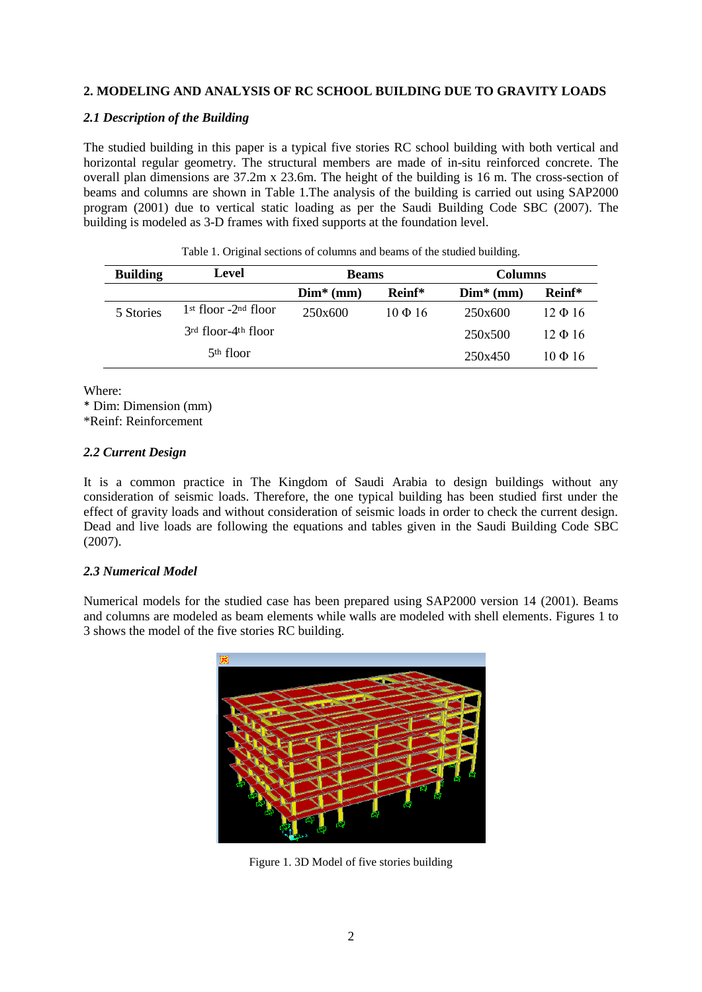# **2. MODELING AND ANALYSIS OF RC SCHOOL BUILDING DUE TO GRAVITY LOADS**

# *2.1 Description of the Building*

The studied building in this paper is a typical five stories RC school building with both vertical and horizontal regular geometry. The structural members are made of in-situ reinforced concrete. The overall plan dimensions are 37.2m x 23.6m. The height of the building is 16 m. The cross-section of beams and columns are shown in Table 1.The analysis of the building is carried out using SAP2000 program (2001) due to vertical static loading as per the Saudi Building Code SBC (2007). The building is modeled as 3-D frames with fixed supports at the foundation level.

| <b>Building</b> | Level                              | <b>Beams</b> |              | <b>Columns</b> |              |
|-----------------|------------------------------------|--------------|--------------|----------------|--------------|
|                 |                                    | $Dim*$ (mm)  | Reinf*       | $Dim* (mm)$    | Reinf*       |
| 5 Stories       | $1st$ floor -2 <sup>nd</sup> floor | 250x600      | $10 \Phi 16$ | 250x600        | $12 \Phi 16$ |
|                 | 3rd floor-4 <sup>th</sup> floor    |              |              | 250x500        | $12 \Phi 16$ |
|                 | 5 <sup>th</sup> floor              |              |              | 250x450        | $10 \Phi 16$ |

Table 1. Original sections of columns and beams of the studied building.

Where:

\* Dim: Dimension (mm) \*Reinf: Reinforcement

# *2.2 Current Design*

It is a common practice in The Kingdom of Saudi Arabia to design buildings without any consideration of seismic loads. Therefore, the one typical building has been studied first under the effect of gravity loads and without consideration of seismic loads in order to check the current design. Dead and live loads are following the equations and tables given in the Saudi Building Code SBC (2007).

# *2.3 Numerical Model*

Numerical models for the studied case has been prepared using SAP2000 version 14 (2001). Beams and columns are modeled as beam elements while walls are modeled with shell elements. Figures 1 to 3 shows the model of the five stories RC building.



Figure 1. 3D Model of five stories building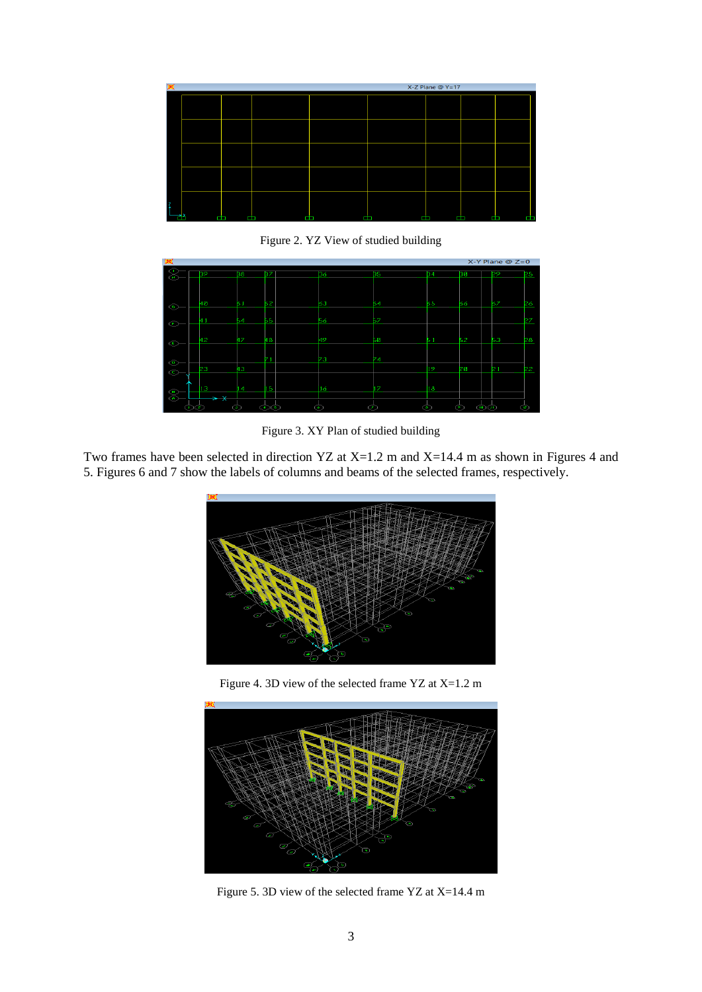| 翼 | $X-Z$ Plane @ $Y=17$ |   |        |   |  |   |   |        |
|---|----------------------|---|--------|---|--|---|---|--------|
|   |                      |   |        |   |  |   |   |        |
|   |                      |   |        |   |  |   |   |        |
|   |                      |   |        |   |  |   |   |        |
|   |                      |   |        |   |  |   |   |        |
|   |                      | œ | Ē<br>œ | œ |  | œ | H | œ<br>Œ |

Figure 2. YZ View of studied building



Figure 3. XY Plan of studied building

Two frames have been selected in direction YZ at X=1.2 m and X=14.4 m as shown in Figures 4 and 5. Figures 6 and 7 show the labels of columns and beams of the selected frames, respectively.



Figure 4. 3D view of the selected frame YZ at X=1.2 m



Figure 5. 3D view of the selected frame YZ at X=14.4 m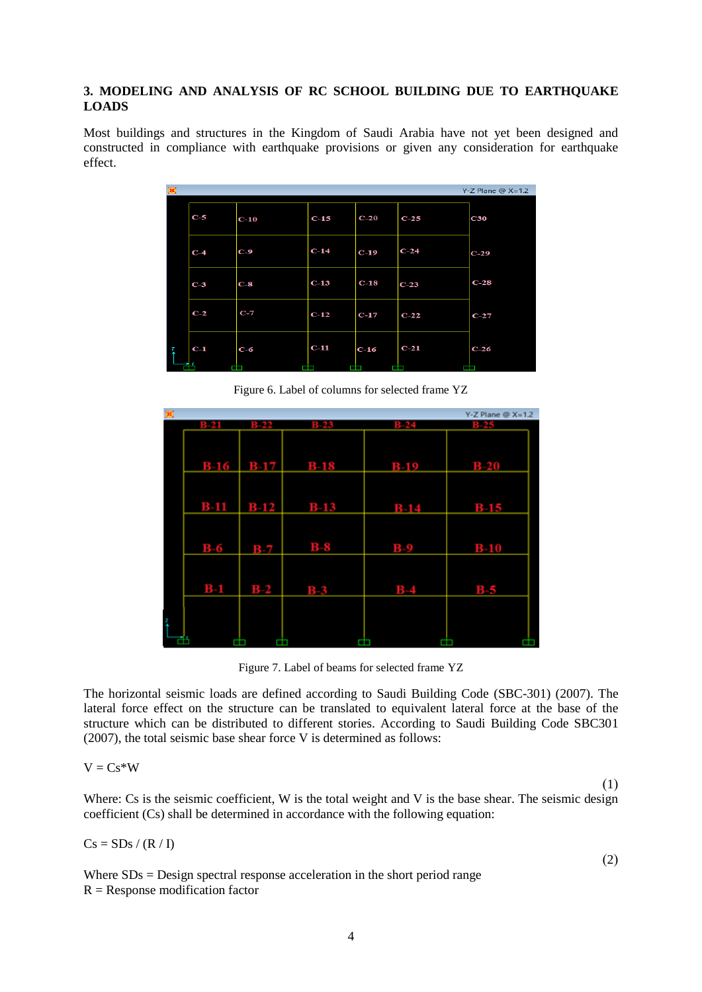# **3. MODELING AND ANALYSIS OF RC SCHOOL BUILDING DUE TO EARTHQUAKE LOADS**

Most buildings and structures in the Kingdom of Saudi Arabia have not yet been designed and constructed in compliance with earthquake provisions or given any consideration for earthquake effect.

| 図 |       |        |        |        |        | $Y-Z$ Plane @ $X=1.2$ |
|---|-------|--------|--------|--------|--------|-----------------------|
|   | $C-5$ | $C-10$ | $C-15$ | $C-20$ | $C-25$ | C30                   |
|   | $C-4$ | $C-9$  | $C-14$ | $C-19$ | $C-24$ | $C-29$                |
|   | $C-3$ | $C-8$  | $C-13$ | $C-18$ | $C-23$ | $C-28$                |
|   | $C-2$ | $C-7$  | $C-12$ | $C-17$ | $C-22$ | $C-27$                |
| 孱 | $C-1$ | $C-6$  | $C-11$ | $C-16$ | $C-21$ | $C-26$                |
|   |       |        |        |        |        |                       |

Figure 6. Label of columns for selected frame YZ

|   |       |               |                       |        | $Y-Z$ Plane $@X=1.2$ |
|---|-------|---------------|-----------------------|--------|----------------------|
|   |       | <b>BERT</b>   | <b>B=23</b>           |        |                      |
|   |       |               |                       |        |                      |
|   |       |               |                       |        |                      |
|   |       |               |                       |        |                      |
|   |       |               | <b>B-16 B-17 B-18</b> | $B-19$ | $B-20$               |
|   |       |               |                       |        |                      |
|   |       |               |                       |        |                      |
|   |       | $B-11$ $B-12$ | $B-13$                | $B-14$ | $B-15$               |
|   |       |               |                       |        |                      |
|   |       |               |                       |        |                      |
|   |       |               |                       |        |                      |
|   | $B-6$ | $B-7$         | $B-8$                 | $B-9$  | $B-10$               |
|   |       |               |                       |        |                      |
|   |       |               |                       |        |                      |
|   |       |               |                       |        |                      |
|   | $B-1$ | $B-2$         | $B-3$                 | $B-4$  | $B-5$                |
|   |       |               |                       |        |                      |
|   |       |               |                       |        |                      |
| i |       |               |                       |        |                      |
|   |       |               |                       |        |                      |

Figure 7. Label of beams for selected frame YZ

The horizontal seismic loads are defined according to Saudi Building Code (SBC-301) (2007). The lateral force effect on the structure can be translated to equivalent lateral force at the base of the structure which can be distributed to different stories. According to Saudi Building Code SBC301 (2007), the total seismic base shear force V is determined as follows:

$$
V = Cs*W
$$
 (1)

Where: Cs is the seismic coefficient, W is the total weight and V is the base shear. The seismic design coefficient (Cs) shall be determined in accordance with the following equation:

$$
Cs = SDs / (R / I)
$$
 (2)

Where  $SDs = Design spectral response acceleration in the short period range$  $R =$ Response modification factor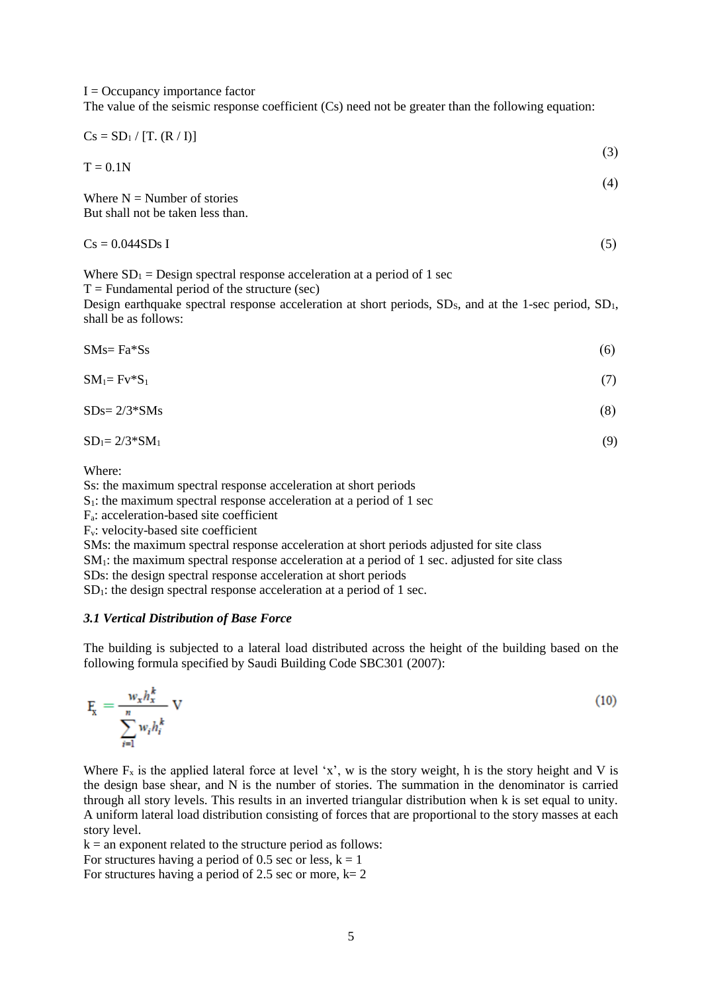$I =$ Occupancy importance factor

The value of the seismic response coefficient (Cs) need not be greater than the following equation:

$$
Cs = SD_1 / [T. (R / I)] \tag{3}
$$

$$
T = 0.1N \tag{4}
$$

Where  $N =$  Number of stories But shall not be taken less than.

| $Cs = 0.044SDs I$ |  |
|-------------------|--|
|                   |  |

Where  $SD_1 = Design spectral response acceleration at a period of 1 sec$ 

 $T =$  Fundamental period of the structure (sec)

Design earthquake spectral response acceleration at short periods,  $SD_s$ , and at the 1-sec period,  $SD_1$ , shall be as follows:

 $\text{SMs} = \text{Fa}^* \text{Ss}$  (6)

$$
SM_1 = Fv^*S_1 \tag{7}
$$

$$
SDs = 2/3 * SMs \tag{8}
$$

 $SD_1 = 2/3*SM_1$  (9)

Where:

Ss: the maximum spectral response acceleration at short periods

 $S_1$ : the maximum spectral response acceleration at a period of 1 sec

Fa: acceleration-based site coefficient

Fv: velocity-based site coefficient

SMs: the maximum spectral response acceleration at short periods adjusted for site class

SM<sub>1</sub>: the maximum spectral response acceleration at a period of 1 sec. adjusted for site class

SDs: the design spectral response acceleration at short periods

 $SD<sub>1</sub>$ : the design spectral response acceleration at a period of 1 sec.

# *3.1 Vertical Distribution of Base Force*

The building is subjected to a lateral load distributed across the height of the building based on the following formula specified by Saudi Building Code SBC301 (2007):

$$
\mathbf{F}_{\mathbf{x}} = \frac{w_{x}h_{x}^{k}}{\sum_{i=1}^{n} w_{i}h_{i}^{k}} \mathbf{V}
$$
\n(10)

Where  $F_x$  is the applied lateral force at level 'x', w is the story weight, h is the story height and V is the design base shear, and N is the number of stories. The summation in the denominator is carried through all story levels. This results in an inverted triangular distribution when k is set equal to unity. A uniform lateral load distribution consisting of forces that are proportional to the story masses at each story level.

 $k = an$  exponent related to the structure period as follows:

For structures having a period of 0.5 sec or less,  $k = 1$ 

For structures having a period of 2.5 sec or more,  $k=2$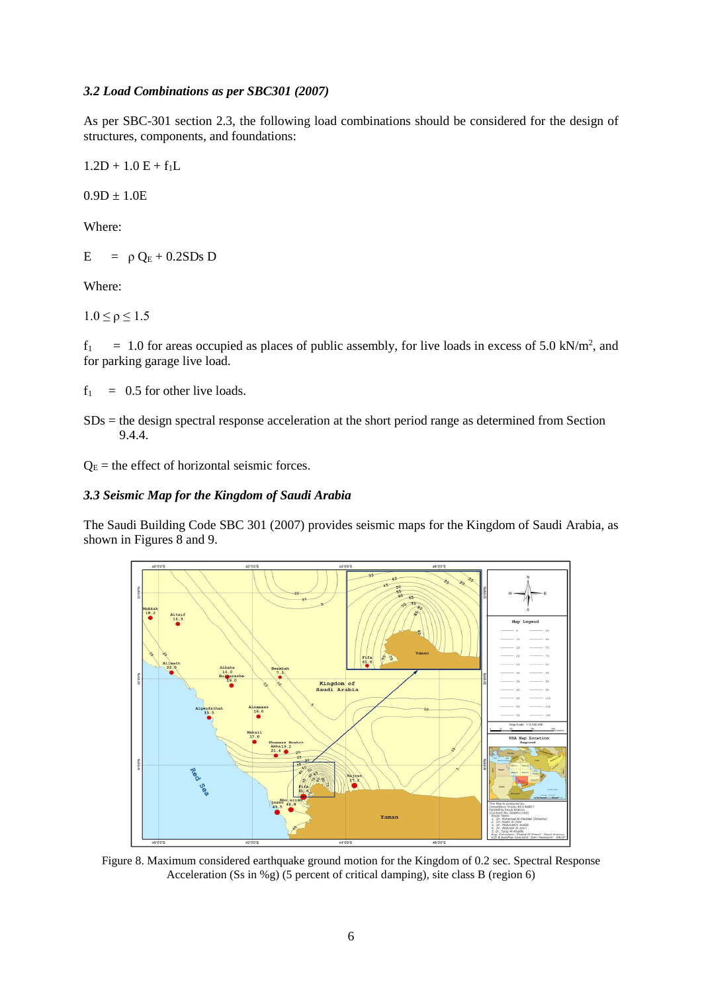### *3.2 Load Combinations as per SBC301 (2007)*

As per SBC-301 section 2.3, the following load combinations should be considered for the design of structures, components, and foundations:

 $1.2D + 1.0 E + f_1L$ 

 $0.9D \pm 1.0E$ 

Where:

 $E = \rho Q_E + 0.2SDs D$ 

Where:

 $1.0 \le \rho \le 1.5$ 

 $f_1 = 1.0$  for areas occupied as places of public assembly, for live loads in excess of 5.0 kN/m<sup>2</sup>, and for parking garage live load.

 $f_1 = 0.5$  for other live loads.

SDs = the design spectral response acceleration at the short period range as determined from Section 9.4.4.

 $Q<sub>E</sub>$  = the effect of horizontal seismic forces.

# *3.3 Seismic Map for the Kingdom of Saudi Arabia*

The Saudi Building Code SBC 301 (2007) provides seismic maps for the Kingdom of Saudi Arabia, as shown in Figures 8 and 9.



Figure 8. Maximum considered earthquake ground motion for the Kingdom of 0.2 sec. Spectral Response Acceleration (Ss in %g) (5 percent of critical damping), site class B (region 6)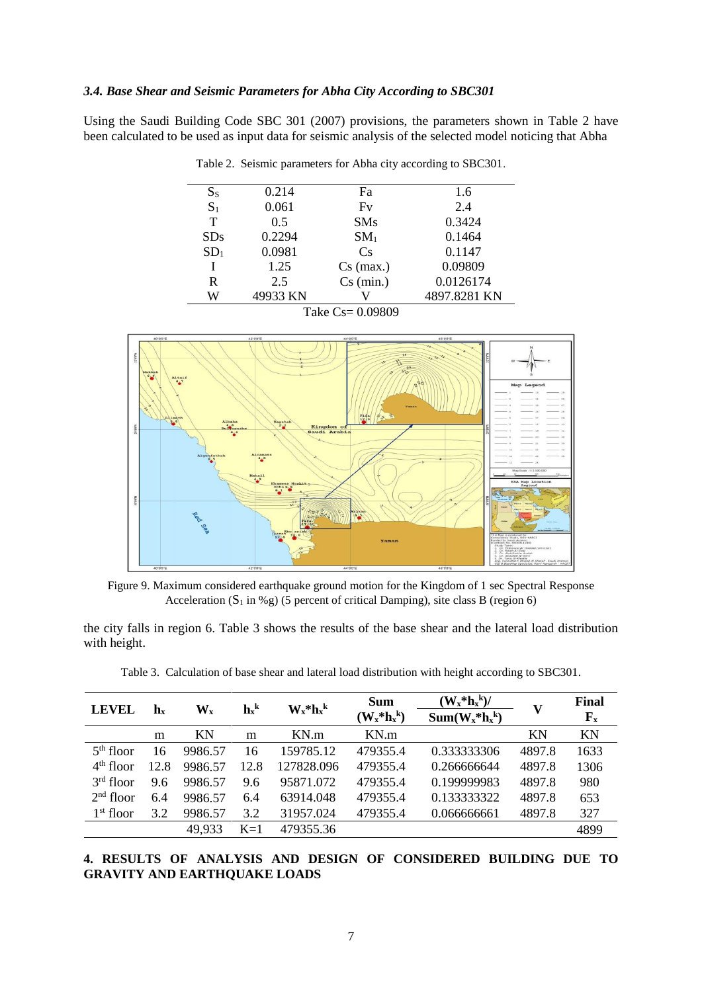# *3.4. Base Shear and Seismic Parameters for Abha City According to SBC301*

Using the Saudi Building Code SBC 301 (2007) provisions, the parameters shown in Table 2 have been calculated to be used as input data for seismic analysis of the selected model noticing that Abha

| $S_S$            | 0.214    | Fa              | 1.6          |  |  |  |
|------------------|----------|-----------------|--------------|--|--|--|
| S <sub>1</sub>   | 0.061    | Fv              | 2.4          |  |  |  |
| T                | 0.5      | <b>SMs</b>      | 0.3424       |  |  |  |
| <b>SDs</b>       | 0.2294   | SM <sub>1</sub> | 0.1464       |  |  |  |
| SD <sub>1</sub>  | 0.0981   | Cs              | 0.1147       |  |  |  |
|                  | 1.25     | $Cs$ (max.)     | 0.09809      |  |  |  |
| R                | 2.5      | $Cs$ (min.)     | 0.0126174    |  |  |  |
| W                | 49933 KN |                 | 4897.8281 KN |  |  |  |
| Take Cs= 0.09809 |          |                 |              |  |  |  |





Figure 9. Maximum considered earthquake ground motion for the Kingdom of 1 sec Spectral Response Acceleration  $(S_1$  in %g) (5 percent of critical Damping), site class B (region 6)

the city falls in region 6. Table 3 shows the results of the base shear and the lateral load distribution with height.

| <b>LEVEL</b> | $\mathbf{h}_{\mathbf{x}}$ | $\mathbf{W}_{\mathbf{x}}$ | $\mathbf{h}^{\mathbf{k}}$ | $W_x * h_x$ | <b>Sum</b><br>$(\mathbf{W}_x^*\mathbf{h}_x^k)$ | $(W_x * h_x k)$<br>$Sum(W_x * h_x k)$ | V         | Final<br>${\bf F}_{\bf x}$ |
|--------------|---------------------------|---------------------------|---------------------------|-------------|------------------------------------------------|---------------------------------------|-----------|----------------------------|
|              | m                         | KN                        | m                         | KN.m        | KN.m                                           |                                       | <b>KN</b> | KN                         |
| $5th$ floor  | 16                        | 9986.57                   | 16                        | 159785.12   | 479355.4                                       | 0.333333306                           | 4897.8    | 1633                       |
| $4th$ floor  | 12.8                      | 9986.57                   | 12.8                      | 127828.096  | 479355.4                                       | 0.266666644                           | 4897.8    | 1306                       |
| $3rd$ floor  | 9.6                       | 9986.57                   | 9.6                       | 95871.072   | 479355.4                                       | 0.199999983                           | 4897.8    | 980                        |
| $2nd$ floor  | 6.4                       | 9986.57                   | 6.4                       | 63914.048   | 479355.4                                       | 0.133333322                           | 4897.8    | 653                        |
| $1st$ floor  | 3.2                       | 9986.57                   | 3.2                       | 31957.024   | 479355.4                                       | 0.066666661                           | 4897.8    | 327                        |
|              |                           | 49.933                    | $K=1$                     | 479355.36   |                                                |                                       |           | 4899                       |

Table 3. Calculation of base shear and lateral load distribution with height according to SBC301.

**4. RESULTS OF ANALYSIS AND DESIGN OF CONSIDERED BUILDING DUE TO GRAVITY AND EARTHQUAKE LOADS**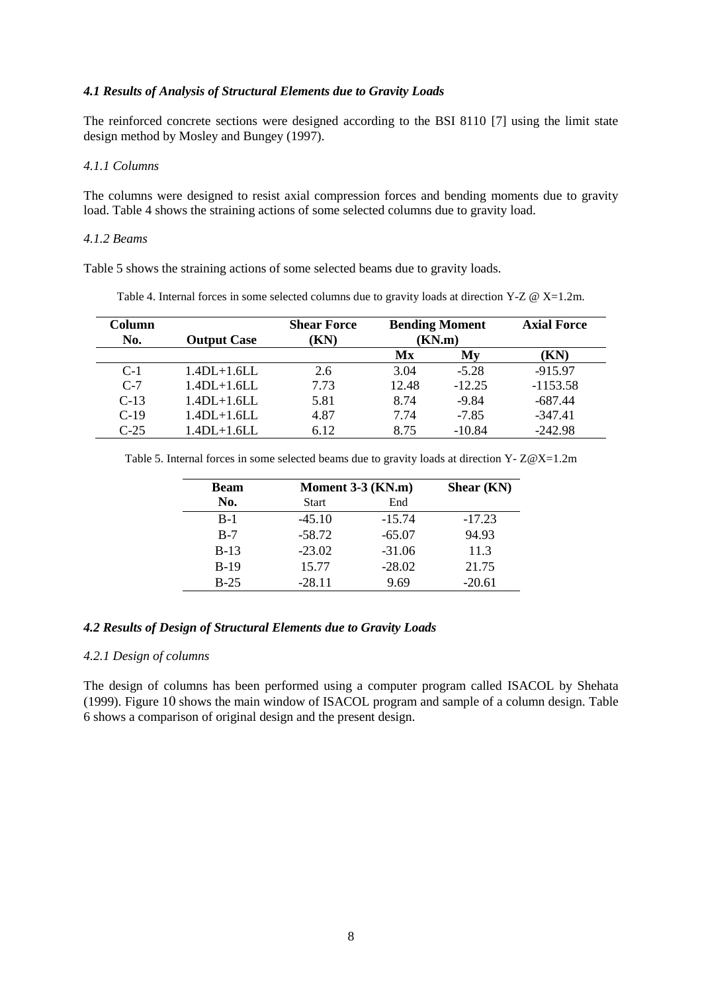# *4.1 Results of Analysis of Structural Elements due to Gravity Loads*

The reinforced concrete sections were designed according to the BSI 8110 [7] using the limit state design method by Mosley and Bungey (1997).

### *4.1.1 Columns*

The columns were designed to resist axial compression forces and bending moments due to gravity load. Table 4 shows the straining actions of some selected columns due to gravity load.

#### *4.1.2 Beams*

Table 5 shows the straining actions of some selected beams due to gravity loads.

| Column<br>No. | <b>Output Case</b> | <b>Shear Force</b><br>(KN) | <b>Bending Moment</b><br>(KN.m) |          | <b>Axial Force</b> |
|---------------|--------------------|----------------------------|---------------------------------|----------|--------------------|
|               |                    |                            | Mx                              | My       | (KN)               |
| $C-1$         | $1.4DL+1.6LL$      | 2.6                        | 3.04                            | $-5.28$  | $-915.97$          |
| $C-7$         | $1.4DL+1.6LL$      | 7.73                       | 12.48                           | $-12.25$ | $-1153.58$         |
| $C-13$        | $1.4DL+1.6LL$      | 5.81                       | 8.74                            | $-9.84$  | $-687.44$          |
| $C-19$        | $1.4DL+1.6LL$      | 4.87                       | 7.74                            | $-7.85$  | $-347.41$          |
| $C-25$        | $1.4DL+1.6LL$      | 6.12                       | 8.75                            | $-10.84$ | $-242.98$          |

Table 4. Internal forces in some selected columns due to gravity loads at direction Y-Z @ X=1.2m.

Table 5. Internal forces in some selected beams due to gravity loads at direction  $Y - Z@X=1.2m$  $Y - Z@X=1.2m$ 

| <b>Beam</b> |              | Moment $3-3$ (KN.m) |          |  |
|-------------|--------------|---------------------|----------|--|
| No.         | <b>Start</b> | End                 |          |  |
| $B-1$       | $-45.10$     | $-15.74$            | $-17.23$ |  |
| $B-7$       | $-58.72$     | $-65.07$            | 94.93    |  |
| $B-13$      | $-23.02$     | $-31.06$            | 11.3     |  |
| $B-19$      | 15.77        | $-28.02$            | 21.75    |  |
| $B-25$      | $-28.11$     | 9.69                | $-20.61$ |  |

# *4.2 Results of Design of Structural Elements due to Gravity Loads*

### *4.2.1 Design of columns*

The design of columns has been performed using a computer program called ISACOL by Shehata (1999). Figure 10 shows the main window of ISACOL program and sample of a column design. Table 6 shows a comparison of original design and the present design.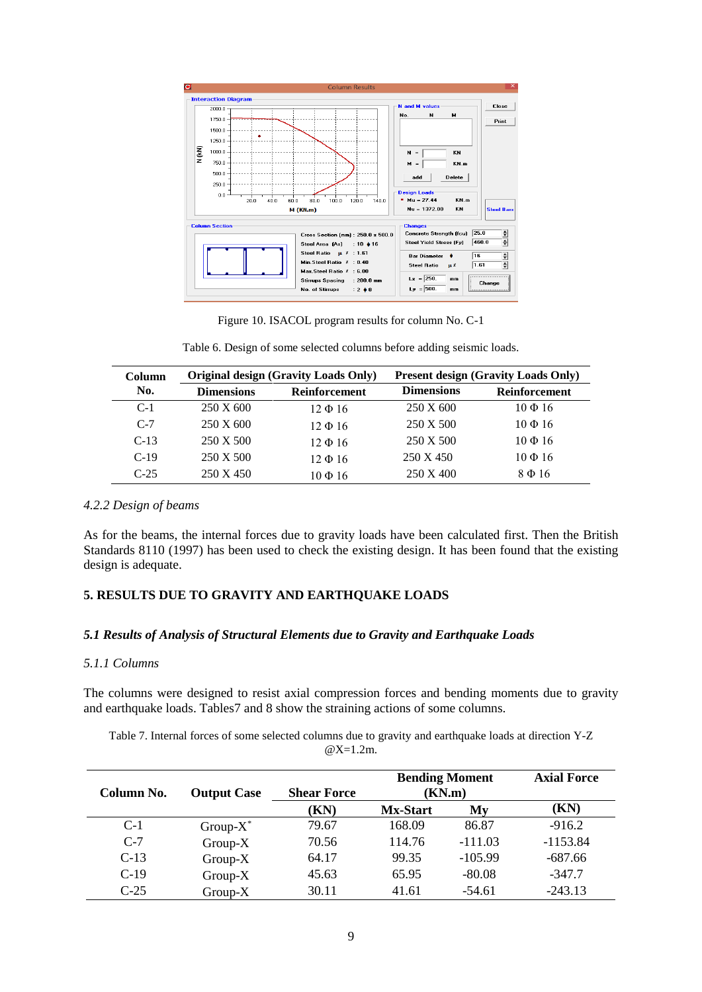

Figure 10. ISACOL program results for column No. C-1

| Table 6. Design of some selected columns before adding seismic loads. |
|-----------------------------------------------------------------------|
|-----------------------------------------------------------------------|

| Column |                   | <b>Original design (Gravity Loads Only)</b> | <b>Present design (Gravity Loads Only)</b> |               |  |
|--------|-------------------|---------------------------------------------|--------------------------------------------|---------------|--|
| No.    | <b>Dimensions</b> | Reinforcement                               | <b>Dimensions</b>                          | Reinforcement |  |
| $C-1$  | 250 X 600         | $12 \Phi 16$                                | 250 X 600                                  | $10 \Phi 16$  |  |
| $C-7$  | 250 X 600         | $12 \Phi 16$                                | 250 X 500                                  | $10 \Phi 16$  |  |
| $C-13$ | 250 X 500         | $12 \Phi 16$                                | 250 X 500                                  | $10 \Phi 16$  |  |
| $C-19$ | 250 X 500         | $12 \Phi 16$                                | 250 X 450                                  | $10 \Phi 16$  |  |
| $C-25$ | 250 X 450         | $10 \Phi 16$                                | 250 X 400                                  | $8\Phi 16$    |  |

#### *4.2.2 Design of beams*

As for the beams, the internal forces due to gravity loads have been calculated first. Then the British Standards 8110 (1997) has been used to check the existing design. It has been found that the existing design is adequate.

# **5. RESULTS DUE TO GRAVITY AND EARTHQUAKE LOADS**

# *5.1 Results of Analysis of Structural Elements due to Gravity and Earthquake Loads*

# *5.1.1 Columns*

The columns were designed to resist axial compression forces and bending moments due to gravity and earthquake loads. Tables7 and 8 show the straining actions of some columns.

Table 7. Internal forces of some selected columns due to gravity and earthquake loads at direction Y-Z @X=1.2m.

| Column No. | <b>Output Case</b> | <b>Shear Force</b> | <b>Bending Moment</b><br>(KN.m)<br><b>Mx-Start</b><br>My |           | <b>Axial Force</b> |
|------------|--------------------|--------------------|----------------------------------------------------------|-----------|--------------------|
|            |                    | (KN)               |                                                          |           | (KN)               |
| $C-1$      | Group- $X^*$       | 79.67              | 168.09                                                   | 86.87     | $-916.2$           |
| $C-7$      | $Group-X$          | 70.56              | 114.76                                                   | $-111.03$ | $-1153.84$         |
| $C-13$     | $Group-X$          | 64.17              | 99.35                                                    | $-105.99$ | $-687.66$          |
| $C-19$     | $Group-X$          | 45.63              | 65.95                                                    | $-80.08$  | $-347.7$           |
| $C-25$     | $Group-X$          | 30.11              | 41.61                                                    | $-54.61$  | $-243.13$          |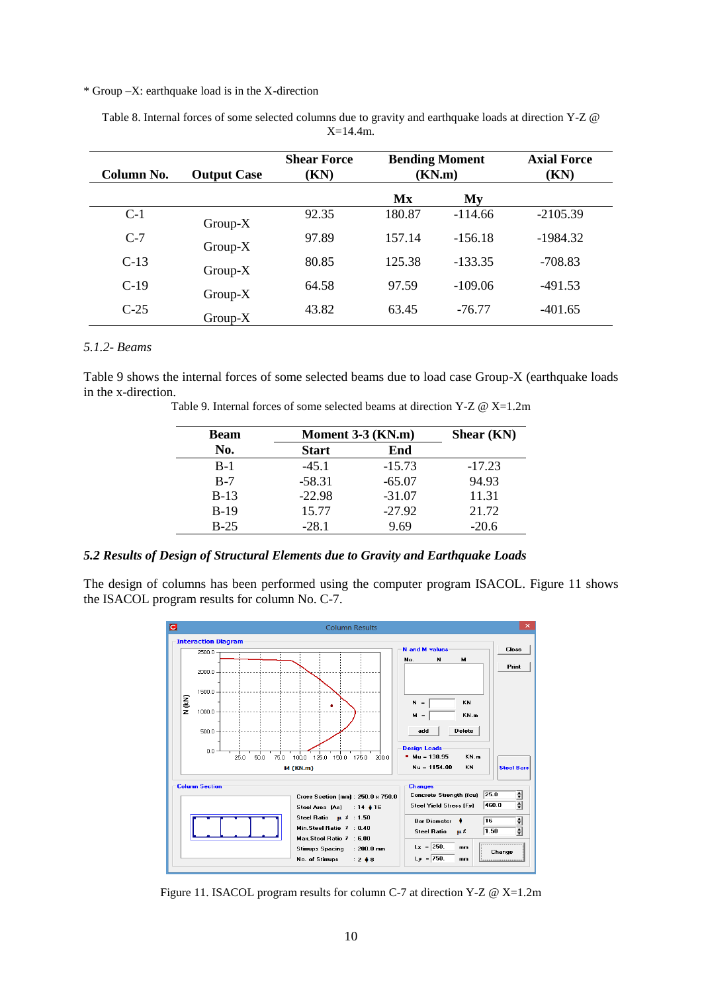#### \* Group –X: earthquake load is in the X-direction

| Column No. | <b>Output Case</b> | <b>Shear Force</b><br>(KN) | <b>Bending Moment</b><br>(KN.m) |           | <b>Axial Force</b><br>(KN) |
|------------|--------------------|----------------------------|---------------------------------|-----------|----------------------------|
|            |                    |                            | Mx                              | My        |                            |
| $C-1$      | $Group-X$          | 92.35                      | 180.87                          | $-114.66$ | $-2105.39$                 |
| $C-7$      | $Group-X$          | 97.89                      | 157.14                          | $-156.18$ | $-1984.32$                 |
| $C-13$     | $Group-X$          | 80.85                      | 125.38                          | $-133.35$ | $-708.83$                  |
| $C-19$     | $Group-X$          | 64.58                      | 97.59                           | $-109.06$ | $-491.53$                  |
| $C-25$     | $Group-X$          | 43.82                      | 63.45                           | $-76.77$  | $-401.65$                  |

Table 8. Internal forces of some selected columns due to gravity and earthquake loads at direction Y-Z @ X=14.4m.

#### *5.1.2*- *Beams*

Table 9 shows the internal forces of some selected beams due to load case Group-X (earthquake loads in the x-direction.

| Table 9. Internal forces of some selected beams at direction Y-Z $\omega$ X=1.2m |
|----------------------------------------------------------------------------------|
|                                                                                  |

| <b>Beam</b> | Moment 3-3 (KN.m) | Shear (KN) |          |
|-------------|-------------------|------------|----------|
| No.         | <b>Start</b>      | End        |          |
| $B-1$       | $-45.1$           | $-15.73$   | $-17.23$ |
| $B-7$       | $-58.31$          | $-65.07$   | 94.93    |
| $B-13$      | $-22.98$          | $-31.07$   | 11.31    |
| $B-19$      | 15.77             | $-27.92$   | 21.72    |
| $B-25$      | $-28.1$           | 9.69       | $-20.6$  |
|             |                   |            |          |

# *5.2 Results of Design of Structural Elements due to Gravity and Earthquake Loads*

The design of columns has been performed using the computer program ISACOL. Figure 11 shows the ISACOL program results for column No. C-7.



Figure 11. ISACOL program results for column C-7 at direction Y-Z @ X=1.2m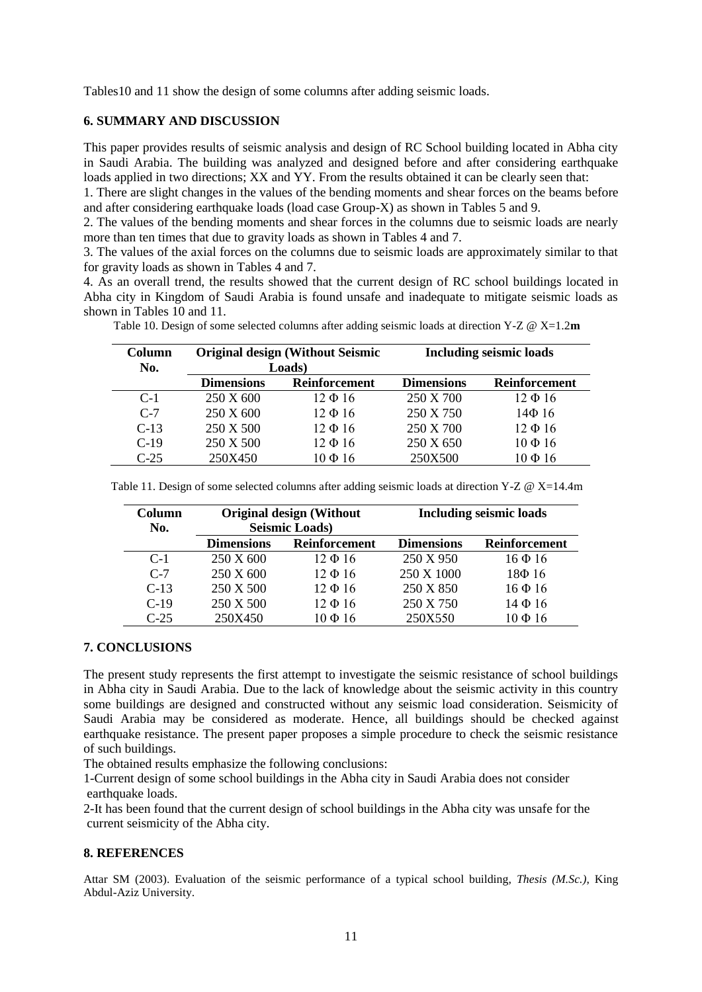Tables10 and 11 show the design of some columns after adding seismic loads.

# **6. SUMMARY AND DISCUSSION**

This paper provides results of seismic analysis and design of RC School building located in Abha city in Saudi Arabia. The building was analyzed and designed before and after considering earthquake loads applied in two directions; XX and YY. From the results obtained it can be clearly seen that:

1. There are slight changes in the values of the bending moments and shear forces on the beams before and after considering earthquake loads (load case Group-X) as shown in Tables 5 and 9.

2. The values of the bending moments and shear forces in the columns due to seismic loads are nearly more than ten times that due to gravity loads as shown in Tables 4 and 7.

3. The values of the axial forces on the columns due to seismic loads are approximately similar to that for gravity loads as shown in Tables 4 and 7.

4. As an overall trend, the results showed that the current design of RC school buildings located in Abha city in Kingdom of Saudi Arabia is found unsafe and inadequate to mitigate seismic loads as shown in Tables 10 and 11.

| Column<br>No. | <b>Original design (Without Seismic</b><br>Loads) |                      | <b>Including seismic loads</b> |                      |
|---------------|---------------------------------------------------|----------------------|--------------------------------|----------------------|
|               | <b>Dimensions</b>                                 | <b>Reinforcement</b> | <b>Dimensions</b>              | <b>Reinforcement</b> |
| $C-1$         | 250 X 600                                         | $12 \Phi 16$         | 250 X 700                      | $12 \Phi 16$         |
| $C-7$         | 250 X 600                                         | $12 \Phi 16$         | 250 X 750                      | $14\Phi$ 16          |
| $C-13$        | 250 X 500                                         | $12 \Phi 16$         | 250 X 700                      | $12 \Phi 16$         |
| $C-19$        | 250 X 500                                         | $12 \Phi 16$         | 250 X 650                      | $10 \Phi 16$         |
| $C-25$        | 250X450                                           | $10 \Phi 16$         | 250X500                        | $10 \Phi 16$         |

Table 10. Design of some selected columns after adding seismic loads at direction Y-Z @ X=1.2**m**

| Table 11. Design of some selected columns after adding seismic loads at direction Y-Z $\omega$ X=14.4m |  |  |
|--------------------------------------------------------------------------------------------------------|--|--|
|--------------------------------------------------------------------------------------------------------|--|--|

| Column<br>No. | <b>Original design (Without</b><br><b>Seismic Loads</b> ) |              | <b>Including seismic loads</b> |                      |
|---------------|-----------------------------------------------------------|--------------|--------------------------------|----------------------|
|               | <b>Reinforcement</b><br><b>Dimensions</b>                 |              | <b>Dimensions</b>              | <b>Reinforcement</b> |
| $C-1$         | 250 X 600                                                 | $12 \Phi 16$ | 250 X 950                      | $16 \Phi 16$         |
| $C-7$         | 250 X 600                                                 | $12 \Phi 16$ | 250 X 1000                     | $18\Phi$ 16          |
| $C-13$        | 250 X 500                                                 | $12 \Phi 16$ | 250 X 850                      | $16 \Phi 16$         |
| $C-19$        | 250 X 500                                                 | $12 \Phi 16$ | 250 X 750                      | $14\Phi 16$          |
| $C-25$        | 250X450                                                   | $10 \Phi 16$ | 250X550                        | $10 \Phi 16$         |

#### **7. CONCLUSIONS**

The present study represents the first attempt to investigate the seismic resistance of school buildings in Abha city in Saudi Arabia. Due to the lack of knowledge about the seismic activity in this country some buildings are designed and constructed without any seismic load consideration. Seismicity of Saudi Arabia may be considered as moderate. Hence, all buildings should be checked against earthquake resistance. The present paper proposes a simple procedure to check the seismic resistance of such buildings.

The obtained results emphasize the following conclusions:

1-Current design of some school buildings in the Abha city in Saudi Arabia does not consider earthquake loads.

2-It has been found that the current design of school buildings in the Abha city was unsafe for the current seismicity of the Abha city.

#### **8. REFERENCES**

Attar SM (2003). Evaluation of the seismic performance of a typical school building, *Thesis (M.Sc.)*, King Abdul-Aziz University.